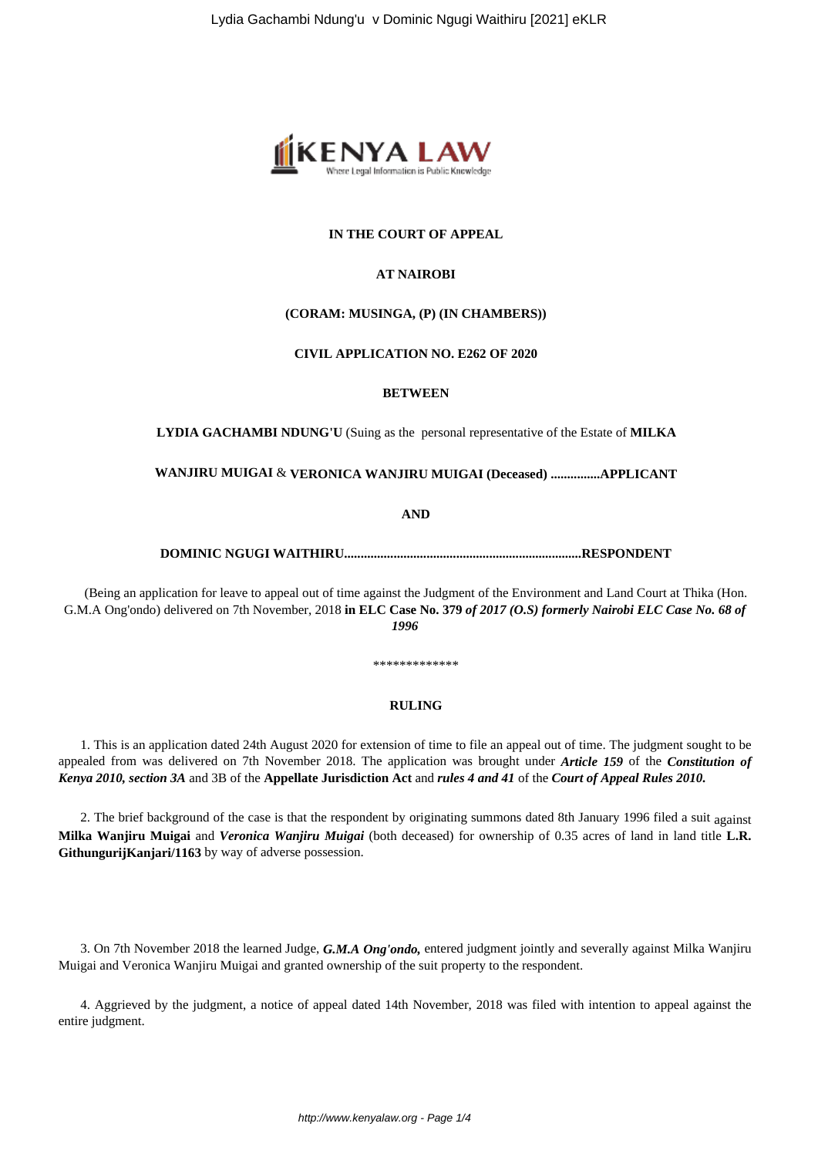

## **IN THE COURT OF APPEAL**

#### **AT NAIROBI**

## **(CORAM: MUSINGA, (P) (IN CHAMBERS))**

## **CIVIL APPLICATION NO. E262 OF 2020**

#### **BETWEEN**

**LYDIA GACHAMBI NDUNG'U** (Suing as the personal representative of the Estate of **MILKA**

**WANJIRU MUIGAI** & **VERONICA WANJIRU MUIGAI (Deceased) ...............APPLICANT**

**AND**

# **DOMINIC NGUGI WAITHIRU........................................................................RESPONDENT**

(Being an application for leave to appeal out of time against the Judgment of the Environment and Land Court at Thika (Hon. G.M.A Ong'ondo) delivered on 7th November, 2018 **in ELC Case No. 379** *of 2017 (O.S) formerly Nairobi ELC Case No. 68 of 1996*

\*\*\*\*\*\*\*\*\*\*\*\*\*

#### **RULING**

1. This is an application dated 24th August 2020 for extension of time to file an appeal out of time. The judgment sought to be appealed from was delivered on 7th November 2018. The application was brought under *Article 159* of the *Constitution of Kenya 2010, section 3A* and 3B of the **Appellate Jurisdiction Act** and *rules 4 and 41* of the *Court of Appeal Rules 2010.*

2. The brief background of the case is that the respondent by originating summons dated 8th January 1996 filed a suit against **Milka Wanjiru Muigai** and *Veronica Wanjiru Muigai* (both deceased) for ownership of 0.35 acres of land in land title **L.R. GithungurijKanjari/1163** by way of adverse possession.

3. On 7th November 2018 the learned Judge, *G.M.A Ong'ondo,* entered judgment jointly and severally against Milka Wanjiru Muigai and Veronica Wanjiru Muigai and granted ownership of the suit property to the respondent.

4. Aggrieved by the judgment, a notice of appeal dated 14th November, 2018 was filed with intention to appeal against the entire judgment.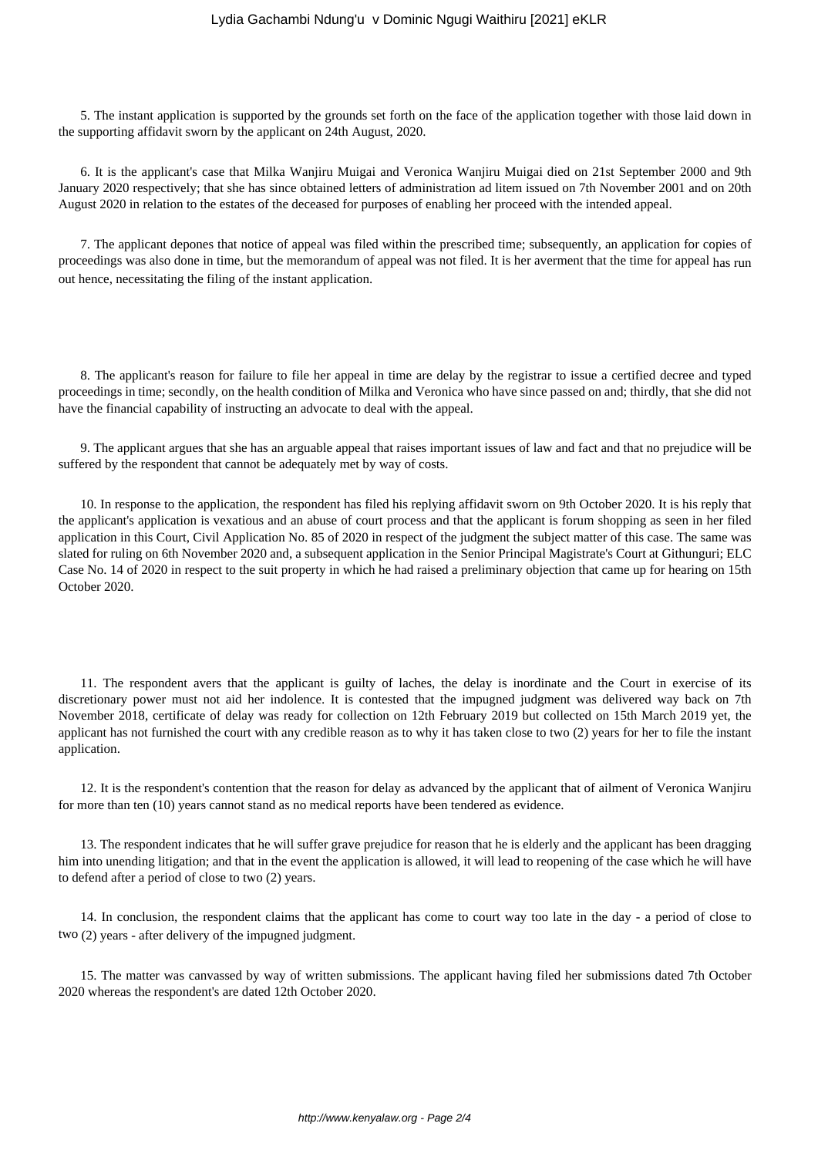#### Lydia Gachambi Ndung'u v Dominic Ngugi Waithiru [2021] eKLR

5. The instant application is supported by the grounds set forth on the face of the application together with those laid down in the supporting affidavit sworn by the applicant on 24th August, 2020.

6. It is the applicant's case that Milka Wanjiru Muigai and Veronica Wanjiru Muigai died on 21st September 2000 and 9th January 2020 respectively; that she has since obtained letters of administration ad litem issued on 7th November 2001 and on 20th August 2020 in relation to the estates of the deceased for purposes of enabling her proceed with the intended appeal.

7. The applicant depones that notice of appeal was filed within the prescribed time; subsequently, an application for copies of proceedings was also done in time, but the memorandum of appeal was not filed. It is her averment that the time for appeal has run out hence, necessitating the filing of the instant application.

8. The applicant's reason for failure to file her appeal in time are delay by the registrar to issue a certified decree and typed proceedings in time; secondly, on the health condition of Milka and Veronica who have since passed on and; thirdly, that she did not have the financial capability of instructing an advocate to deal with the appeal.

9. The applicant argues that she has an arguable appeal that raises important issues of law and fact and that no prejudice will be suffered by the respondent that cannot be adequately met by way of costs.

10. In response to the application, the respondent has filed his replying affidavit sworn on 9th October 2020. It is his reply that the applicant's application is vexatious and an abuse of court process and that the applicant is forum shopping as seen in her filed application in this Court, Civil Application No. 85 of 2020 in respect of the judgment the subject matter of this case. The same was slated for ruling on 6th November 2020 and, a subsequent application in the Senior Principal Magistrate's Court at Githunguri; ELC Case No. 14 of 2020 in respect to the suit property in which he had raised a preliminary objection that came up for hearing on 15th October 2020.

11. The respondent avers that the applicant is guilty of laches, the delay is inordinate and the Court in exercise of its discretionary power must not aid her indolence. It is contested that the impugned judgment was delivered way back on 7th November 2018, certificate of delay was ready for collection on 12th February 2019 but collected on 15th March 2019 yet, the applicant has not furnished the court with any credible reason as to why it has taken close to two (2) years for her to file the instant application.

12. It is the respondent's contention that the reason for delay as advanced by the applicant that of ailment of Veronica Wanjiru for more than ten (10) years cannot stand as no medical reports have been tendered as evidence.

13. The respondent indicates that he will suffer grave prejudice for reason that he is elderly and the applicant has been dragging him into unending litigation; and that in the event the application is allowed, it will lead to reopening of the case which he will have to defend after a period of close to two (2) years.

14. In conclusion, the respondent claims that the applicant has come to court way too late in the day - a period of close to two (2) years - after delivery of the impugned judgment.

15. The matter was canvassed by way of written submissions. The applicant having filed her submissions dated 7th October 2020 whereas the respondent's are dated 12th October 2020.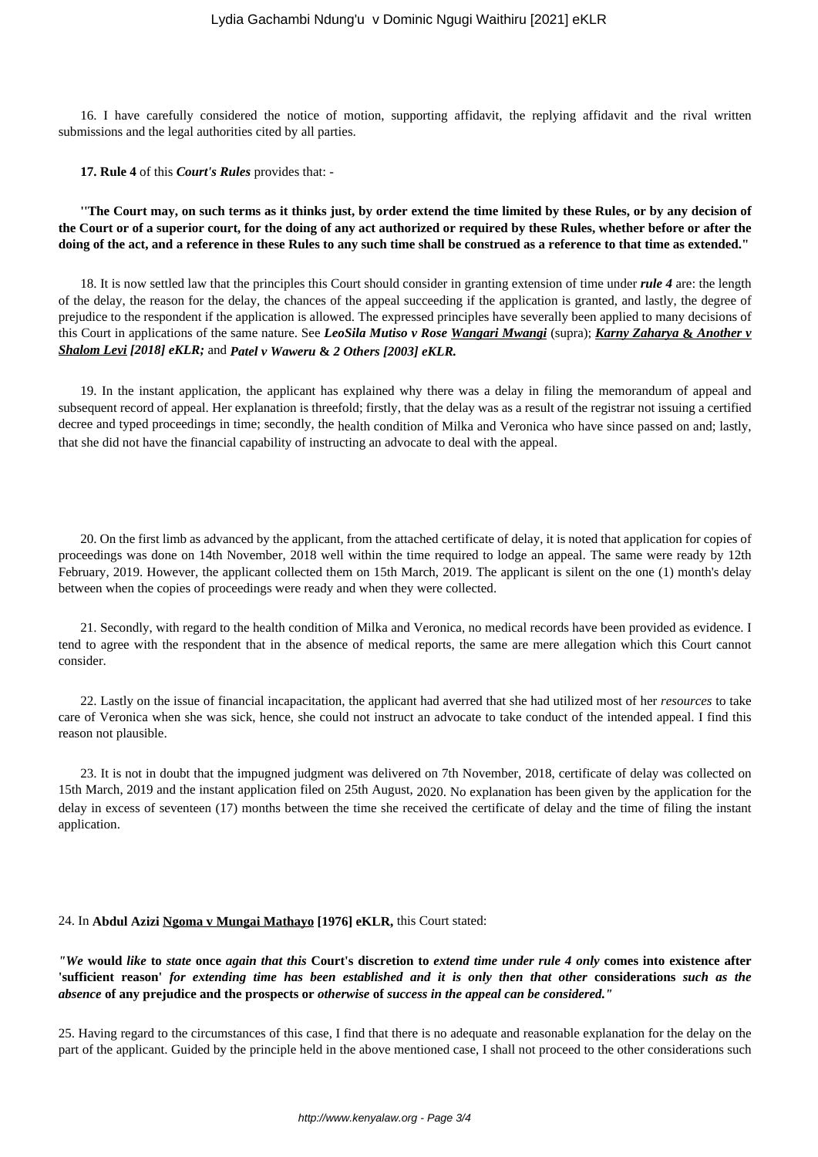16. I have carefully considered the notice of motion, supporting affidavit, the replying affidavit and the rival written submissions and the legal authorities cited by all parties.

**17. Rule 4** of this *Court's Rules* provides that: -

**''The Court may, on such terms as it thinks just, by order extend the time limited by these Rules, or by any decision of the Court or of a superior court, for the doing of any act authorized or required by these Rules, whether before or after the doing of the act, and a reference in these Rules to any such time shall be construed as a reference to that time as extended."**

18. It is now settled law that the principles this Court should consider in granting extension of time under *rule 4* are: the length of the delay, the reason for the delay, the chances of the appeal succeeding if the application is granted, and lastly, the degree of prejudice to the respondent if the application is allowed. The expressed principles have severally been applied to many decisions of this Court in applications of the same nature. See *LeoSila Mutiso v Rose Wangari Mwangi* (supra); *Karny Zaharya* **&** *Another v Shalom Levi [2018] eKLR;* and *Patel v Waweru* **&** *2 Others [2003] eKLR.*

19. In the instant application, the applicant has explained why there was a delay in filing the memorandum of appeal and subsequent record of appeal. Her explanation is threefold; firstly, that the delay was as a result of the registrar not issuing a certified decree and typed proceedings in time; secondly, the health condition of Milka and Veronica who have since passed on and; lastly, that she did not have the financial capability of instructing an advocate to deal with the appeal.

20. On the first limb as advanced by the applicant, from the attached certificate of delay, it is noted that application for copies of proceedings was done on 14th November, 2018 well within the time required to lodge an appeal. The same were ready by 12th February, 2019. However, the applicant collected them on 15th March, 2019. The applicant is silent on the one (1) month's delay between when the copies of proceedings were ready and when they were collected.

21. Secondly, with regard to the health condition of Milka and Veronica, no medical records have been provided as evidence. I tend to agree with the respondent that in the absence of medical reports, the same are mere allegation which this Court cannot consider.

22. Lastly on the issue of financial incapacitation, the applicant had averred that she had utilized most of her *resources* to take care of Veronica when she was sick, hence, she could not instruct an advocate to take conduct of the intended appeal. I find this reason not plausible.

23. It is not in doubt that the impugned judgment was delivered on 7th November, 2018, certificate of delay was collected on 15th March, 2019 and the instant application filed on 25th August, 2020. No explanation has been given by the application for the delay in excess of seventeen (17) months between the time she received the certificate of delay and the time of filing the instant application.

#### 24. In **Abdul Azizi Ngoma v Mungai Mathayo [1976] eKLR,** this Court stated:

*"We* **would** *like* **to** *state* **once** *again that this* **Court's discretion to** *extend time under rule 4 only* **comes into existence after 'sufficient reason'** *for extending time has been established and it is only then that other* **considerations** *such as the absence* **of any prejudice and the prospects or** *otherwise* **of** *success in the appeal can be considered."*

25. Having regard to the circumstances of this case, I find that there is no adequate and reasonable explanation for the delay on the part of the applicant. Guided by the principle held in the above mentioned case, I shall not proceed to the other considerations such